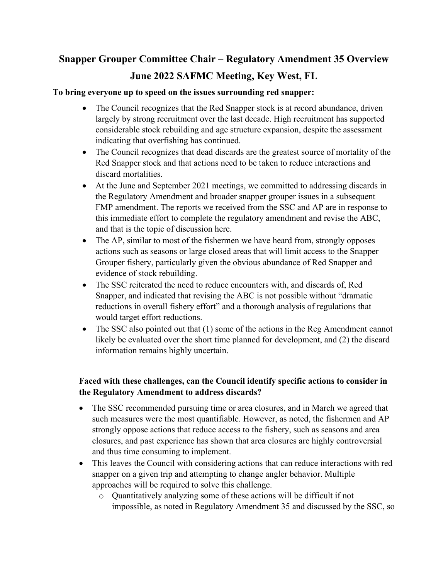## **Snapper Grouper Committee Chair – Regulatory Amendment 35 Overview June 2022 SAFMC Meeting, Key West, FL**

## **To bring everyone up to speed on the issues surrounding red snapper:**

- The Council recognizes that the Red Snapper stock is at record abundance, driven largely by strong recruitment over the last decade. High recruitment has supported considerable stock rebuilding and age structure expansion, despite the assessment indicating that overfishing has continued.
- The Council recognizes that dead discards are the greatest source of mortality of the Red Snapper stock and that actions need to be taken to reduce interactions and discard mortalities.
- At the June and September 2021 meetings, we committed to addressing discards in the Regulatory Amendment and broader snapper grouper issues in a subsequent FMP amendment. The reports we received from the SSC and AP are in response to this immediate effort to complete the regulatory amendment and revise the ABC, and that is the topic of discussion here.
- The AP, similar to most of the fishermen we have heard from, strongly opposes actions such as seasons or large closed areas that will limit access to the Snapper Grouper fishery, particularly given the obvious abundance of Red Snapper and evidence of stock rebuilding.
- The SSC reiterated the need to reduce encounters with, and discards of, Red Snapper, and indicated that revising the ABC is not possible without "dramatic reductions in overall fishery effort" and a thorough analysis of regulations that would target effort reductions.
- The SSC also pointed out that (1) some of the actions in the Reg Amendment cannot likely be evaluated over the short time planned for development, and (2) the discard information remains highly uncertain.

## **Faced with these challenges, can the Council identify specific actions to consider in the Regulatory Amendment to address discards?**

- The SSC recommended pursuing time or area closures, and in March we agreed that such measures were the most quantifiable. However, as noted, the fishermen and AP strongly oppose actions that reduce access to the fishery, such as seasons and area closures, and past experience has shown that area closures are highly controversial and thus time consuming to implement.
- This leaves the Council with considering actions that can reduce interactions with red snapper on a given trip and attempting to change angler behavior. Multiple approaches will be required to solve this challenge.
	- o Quantitatively analyzing some of these actions will be difficult if not impossible, as noted in Regulatory Amendment 35 and discussed by the SSC, so